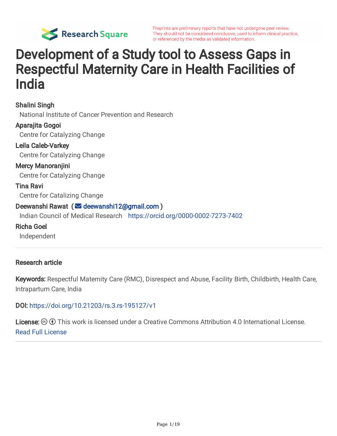

# Development of a Study tool to Assess Gaps in Respectful Maternity Care in Health Facilities of India

Shalini Singh National Institute of Cancer Prevention and Research Aparajita Gogoi Centre for Catalyzing Change Leila Caleb-Varkey Centre for Catalyzing Change Mercy Manoranjini Centre for Catalyzing Change Tina Ravi Centre for Catalizing Change Deewanshi Rawat ( [deewanshi12@gmail.com](mailto:deewanshi12@gmail.com) ) Indian Council of Medical Research <https://orcid.org/0000-0002-7273-7402> Richa Goel

Independent

#### Research article

Keywords: Respectful Maternity Care (RMC), Disrespect and Abuse, Facility Birth, Childbirth, Health Care, Intrapartum Care, India

DOI: <https://doi.org/10.21203/rs.3.rs-195127/v1>

**License:**  $\textcircled{f}$  This work is licensed under a Creative Commons Attribution 4.0 International License. Read Full [License](https://creativecommons.org/licenses/by/4.0/)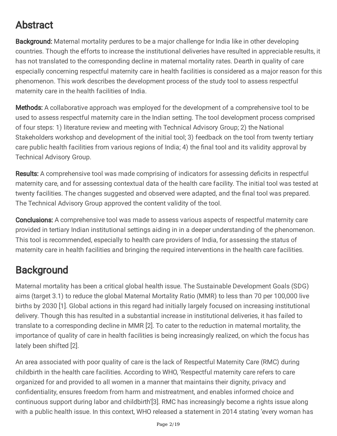# Abstract

Background: Maternal mortality perdures to be a major challenge for India like in other developing countries. Though the efforts to increase the institutional deliveries have resulted in appreciable results, it has not translated to the corresponding decline in maternal mortality rates. Dearth in quality of care especially concerning respectful maternity care in health facilities is considered as a major reason for this phenomenon. This work describes the development process of the study tool to assess respectful maternity care in the health facilities of India.

**Methods:** A collaborative approach was employed for the development of a comprehensive tool to be used to assess respectful maternity care in the Indian setting. The tool development process comprised of four steps: 1) literature review and meeting with Technical Advisory Group; 2) the National Stakeholders workshop and development of the initial tool; 3) feedback on the tool from twenty tertiary care public health facilities from various regions of India; 4) the final tool and its validity approval by Technical Advisory Group.

Results: A comprehensive tool was made comprising of indicators for assessing deficits in respectful maternity care, and for assessing contextual data of the health care facility. The initial tool was tested at twenty facilities. The changes suggested and observed were adapted, and the final tool was prepared. The Technical Advisory Group approved the content validity of the tool.

**Conclusions:** A comprehensive tool was made to assess various aspects of respectful maternity care provided in tertiary Indian institutional settings aiding in in a deeper understanding of the phenomenon. This tool is recommended, especially to health care providers of India, for assessing the status of maternity care in health facilities and bringing the required interventions in the health care facilities.

# **Background**

Maternal mortality has been a critical global health issue. The Sustainable Development Goals (SDG) aims (target 3.1) to reduce the global Maternal Mortality Ratio (MMR) to less than 70 per 100,000 live births by 2030 [1]. Global actions in this regard had initially largely focused on increasing institutional delivery. Though this has resulted in a substantial increase in institutional deliveries, it has failed to translate to a corresponding decline in MMR [2]. To cater to the reduction in maternal mortality, the importance of quality of care in health facilities is being increasingly realized, on which the focus has lately been shifted [2].

An area associated with poor quality of care is the lack of Respectful Maternity Care (RMC) during childbirth in the health care facilities. According to WHO, 'Respectful maternity care refers to care organized for and provided to all women in a manner that maintains their dignity, privacy and confidentiality, ensures freedom from harm and mistreatment, and enables informed choice and continuous support during labor and childbirth'[3]. RMC has increasingly become a rights issue along with a public health issue. In this context, WHO released a statement in 2014 stating 'every woman has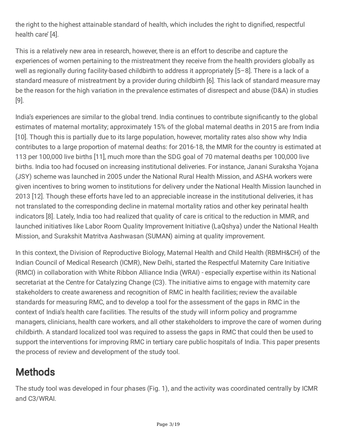the right to the highest attainable standard of health, which includes the right to dignified, respectful health care' [4].

This is a relatively new area in research, however, there is an effort to describe and capture the experiences of women pertaining to the mistreatment they receive from the health providers globally as well as regionally during facility-based childbirth to address it appropriately [5–8]. There is a lack of a standard measure of mistreatment by a provider during childbirth [6]. This lack of standard measure may be the reason for the high variation in the prevalence estimates of disrespect and abuse (D&A) in studies [9].

India's experiences are similar to the global trend. India continues to contribute significantly to the global estimates of maternal mortality; approximately 15% of the global maternal deaths in 2015 are from India [10]. Though this is partially due to its large population, however, mortality rates also show why India contributes to a large proportion of maternal deaths: for 2016-18, the MMR for the country is estimated at 113 per 100,000 live births [11], much more than the SDG goal of 70 maternal deaths per 100,000 live births. India too had focused on increasing institutional deliveries. For instance, Janani Suraksha Yojana (JSY) scheme was launched in 2005 under the National Rural Health Mission, and ASHA workers were given incentives to bring women to institutions for delivery under the National Health Mission launched in 2013 [12]. Though these efforts have led to an appreciable increase in the institutional deliveries, it has not translated to the corresponding decline in maternal mortality ratios and other key perinatal health indicators [8]. Lately, India too had realized that quality of care is critical to the reduction in MMR, and launched initiatives like Labor Room Quality Improvement Initiative (LaQshya) under the National Health Mission, and Surakshit Matritva Aashwasan (SUMAN) aiming at quality improvement.

In this context, the Division of Reproductive Biology, Maternal Health and Child Health (RBMH&CH) of the Indian Council of Medical Research (ICMR), New Delhi, started the Respectful Maternity Care Initiative (RMCI) in collaboration with White Ribbon Alliance India (WRAI) - especially expertise within its National secretariat at the Centre for Catalyzing Change (C3). The initiative aims to engage with maternity care stakeholders to create awareness and recognition of RMC in health facilities; review the available standards for measuring RMC, and to develop a tool for the assessment of the gaps in RMC in the context of India's health care facilities. The results of the study will inform policy and programme managers, clinicians, health care workers, and all other stakeholders to improve the care of women during childbirth. A standard localized tool was required to assess the gaps in RMC that could then be used to support the interventions for improving RMC in tertiary care public hospitals of India. This paper presents the process of review and development of the study tool.

# **Methods**

The study tool was developed in four phases (Fig. 1), and the activity was coordinated centrally by ICMR and C3/WRAI.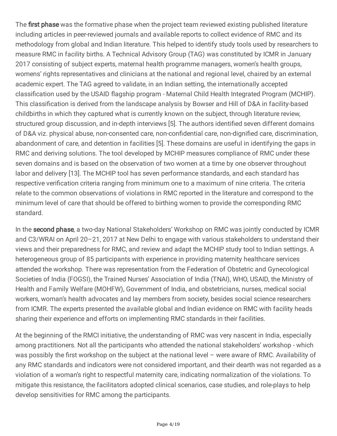The first phase was the formative phase when the project team reviewed existing published literature including articles in peer-reviewed journals and available reports to collect evidence of RMC and its methodology from global and Indian literature. This helped to identify study tools used by researchers to measure RMC in facility births. A Technical Advisory Group (TAG) was constituted by ICMR in January 2017 consisting of subject experts, maternal health programme managers, women's health groups, womens' rights representatives and clinicians at the national and regional level, chaired by an external academic expert. The TAG agreed to validate, in an Indian setting, the internationally accepted classification used by the USAID flagship program - Maternal Child Health Integrated Program (MCHIP). This classification is derived from the landscape analysis by Bowser and Hill of D&A in facility-based childbirths in which they captured what is currently known on the subject, through literature review, structured group discussion, and in-depth interviews [5]. The authors identified seven different domains of D&A viz. physical abuse, non-consented care, non-confidential care, non-dignified care, discrimination, abandonment of care, and detention in facilities [5]. These domains are useful in identifying the gaps in RMC and deriving solutions. The tool developed by MCHIP measures compliance of RMC under these seven domains and is based on the observation of two women at a time by one observer throughout labor and delivery [13]. The MCHIP tool has seven performance standards, and each standard has respective verification criteria ranging from minimum one to a maximum of nine criteria. The criteria relate to the common observations of violations in RMC reported in the literature and correspond to the minimum level of care that should be offered to birthing women to provide the corresponding RMC standard.

In the second phase, a two-day National Stakeholders' Workshop on RMC was jointly conducted by ICMR and C3/WRAI on April 20–21, 2017 at New Delhi to engage with various stakeholders to understand their views and their preparedness for RMC, and review and adapt the MCHIP study tool to Indian settings. A heterogeneous group of 85 participants with experience in providing maternity healthcare services attended the workshop. There was representation from the Federation of Obstetric and Gynecological Societies of India (FOGSI), the Trained Nurses' Association of India (TNAI), WHO, USAID, the Ministry of Health and Family Welfare (MOHFW), Government of India, and obstetricians, nurses, medical social workers, woman's health advocates and lay members from society, besides social science researchers from ICMR. The experts presented the available global and Indian evidence on RMC with facility heads sharing their experience and efforts on implementing RMC standards in their facilities.

At the beginning of the RMCI initiative, the understanding of RMC was very nascent in India, especially among practitioners. Not all the participants who attended the national stakeholders' workshop - which was possibly the first workshop on the subject at the national level  $-$  were aware of RMC. Availability of any RMC standards and indicators were not considered important, and their dearth was not regarded as a violation of a woman's right to respectful maternity care, indicating normalization of the violations. To mitigate this resistance, the facilitators adopted clinical scenarios, case studies, and role-plays to help develop sensitivities for RMC among the participants.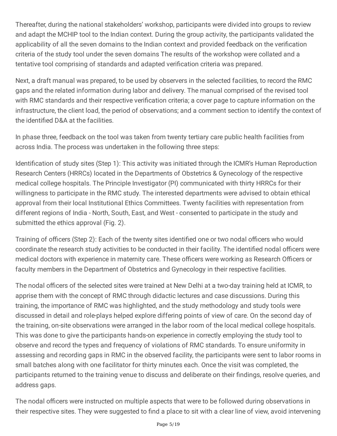Thereafter, during the national stakeholders' workshop, participants were divided into groups to review and adapt the MCHIP tool to the Indian context. During the group activity, the participants validated the applicability of all the seven domains to the Indian context and provided feedback on the verification criteria of the study tool under the seven domains The results of the workshop were collated and a tentative tool comprising of standards and adapted verification criteria was prepared.

Next, a draft manual was prepared, to be used by observers in the selected facilities, to record the RMC gaps and the related information during labor and delivery. The manual comprised of the revised tool with RMC standards and their respective verification criteria; a cover page to capture information on the infrastructure, the client load, the period of observations; and a comment section to identify the context of the identified D&A at the facilities.

In phase three, feedback on the tool was taken from twenty tertiary care public health facilities from across India. The process was undertaken in the following three steps:

Identification of study sites (Step 1): This activity was initiated through the ICMR's Human Reproduction Research Centers (HRRCs) located in the Departments of Obstetrics & Gynecology of the respective medical college hospitals. The Principle Investigator (PI) communicated with thirty HRRCs for their willingness to participate in the RMC study. The interested departments were advised to obtain ethical approval from their local Institutional Ethics Committees. Twenty facilities with representation from different regions of India - North, South, East, and West - consented to participate in the study and submitted the ethics approval (Fig. 2).

Training of officers (Step 2): Each of the twenty sites identified one or two nodal officers who would coordinate the research study activities to be conducted in their facility. The identified nodal officers were medical doctors with experience in maternity care. These officers were working as Research Officers or faculty members in the Department of Obstetrics and Gynecology in their respective facilities.

The nodal officers of the selected sites were trained at New Delhi at a two-day training held at ICMR, to apprise them with the concept of RMC through didactic lectures and case discussions. During this training, the importance of RMC was highlighted, and the study methodology and study tools were discussed in detail and role-plays helped explore differing points of view of care. On the second day of the training, on-site observations were arranged in the labor room of the local medical college hospitals. This was done to give the participants hands-on experience in correctly employing the study tool to observe and record the types and frequency of violations of RMC standards. To ensure uniformity in assessing and recording gaps in RMC in the observed facility, the participants were sent to labor rooms in small batches along with one facilitator for thirty minutes each. Once the visit was completed, the participants returned to the training venue to discuss and deliberate on their findings, resolve queries, and address gaps.

The nodal officers were instructed on multiple aspects that were to be followed during observations in their respective sites. They were suggested to find a place to sit with a clear line of view, avoid intervening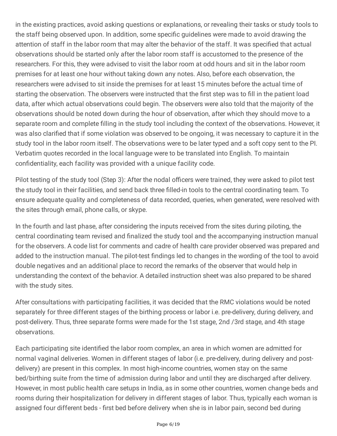in the existing practices, avoid asking questions or explanations, or revealing their tasks or study tools to the staff being observed upon. In addition, some specific guidelines were made to avoid drawing the attention of staff in the labor room that may alter the behavior of the staff. It was specified that actual observations should be started only after the labor room staff is accustomed to the presence of the researchers. For this, they were advised to visit the labor room at odd hours and sit in the labor room premises for at least one hour without taking down any notes. Also, before each observation, the researchers were advised to sit inside the premises for at least 15 minutes before the actual time of starting the observation. The observers were instructed that the first step was to fill in the patient load data, after which actual observations could begin. The observers were also told that the majority of the observations should be noted down during the hour of observation, after which they should move to a separate room and complete filling in the study tool including the context of the observations. However, it was also clarified that if some violation was observed to be ongoing, it was necessary to capture it in the study tool in the labor room itself. The observations were to be later typed and a soft copy sent to the PI. Verbatim quotes recorded in the local language were to be translated into English. To maintain confidentiality, each facility was provided with a unique facility code.

Pilot testing of the study tool (Step 3): After the nodal officers were trained, they were asked to pilot test the study tool in their facilities, and send back three filled-in tools to the central coordinating team. To ensure adequate quality and completeness of data recorded, queries, when generated, were resolved with the sites through email, phone calls, or skype.

In the fourth and last phase, after considering the inputs received from the sites during piloting, the central coordinating team revised and finalized the study tool and the accompanying instruction manual for the observers. A code list for comments and cadre of health care provider observed was prepared and added to the instruction manual. The pilot-test findings led to changes in the wording of the tool to avoid double negatives and an additional place to record the remarks of the observer that would help in understanding the context of the behavior. A detailed instruction sheet was also prepared to be shared with the study sites.

After consultations with participating facilities, it was decided that the RMC violations would be noted separately for three different stages of the birthing process or labor i.e. pre-delivery, during delivery, and post-delivery. Thus, three separate forms were made for the 1st stage, 2nd /3rd stage, and 4th stage observations.

Each participating site identified the labor room complex, an area in which women are admitted for normal vaginal deliveries. Women in different stages of labor (i.e. pre-delivery, during delivery and postdelivery) are present in this complex. In most high-income countries, women stay on the same bed/birthing suite from the time of admission during labor and until they are discharged after delivery. However, in most public health care setups in India, as in some other countries, women change beds and rooms during their hospitalization for delivery in different stages of labor. Thus, typically each woman is assigned four different beds - first bed before delivery when she is in labor pain, second bed during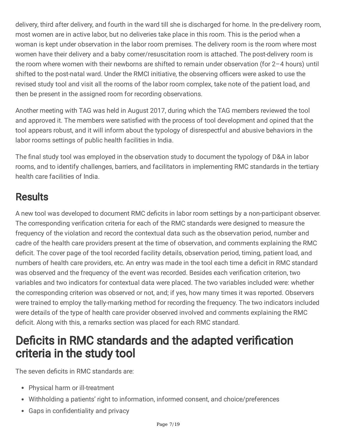delivery, third after delivery, and fourth in the ward till she is discharged for home. In the pre-delivery room, most women are in active labor, but no deliveries take place in this room. This is the period when a woman is kept under observation in the labor room premises. The delivery room is the room where most women have their delivery and a baby corner/resuscitation room is attached. The post-delivery room is the room where women with their newborns are shifted to remain under observation (for 2–4 hours) until shifted to the post-natal ward. Under the RMCI initiative, the observing officers were asked to use the revised study tool and visit all the rooms of the labor room complex, take note of the patient load, and then be present in the assigned room for recording observations.

Another meeting with TAG was held in August 2017, during which the TAG members reviewed the tool and approved it. The members were satisfied with the process of tool development and opined that the tool appears robust, and it will inform about the typology of disrespectful and abusive behaviors in the labor rooms settings of public health facilities in India.

The final study tool was employed in the observation study to document the typology of D&A in labor rooms, and to identify challenges, barriers, and facilitators in implementing RMC standards in the tertiary health care facilities of India.

# **Results**

A new tool was developed to document RMC deficits in labor room settings by a non-participant observer. The corresponding verification criteria for each of the RMC standards were designed to measure the frequency of the violation and record the contextual data such as the observation period, number and cadre of the health care providers present at the time of observation, and comments explaining the RMC deficit. The cover page of the tool recorded facility details, observation period, timing, patient load, and numbers of health care providers, etc. An entry was made in the tool each time a deficit in RMC standard was observed and the frequency of the event was recorded. Besides each verification criterion, two variables and two indicators for contextual data were placed. The two variables included were: whether the corresponding criterion was observed or not, and; if yes, how many times it was reported. Observers were trained to employ the tally-marking method for recording the frequency. The two indicators included were details of the type of health care provider observed involved and comments explaining the RMC deficit. Along with this, a remarks section was placed for each RMC standard.

# Deficits in RMC standards and the adapted verification criteria in the study tool

The seven deficits in RMC standards are:

- Physical harm or ill-treatment
- Withholding a patients' right to information, informed consent, and choice/preferences
- Gaps in confidentiality and privacy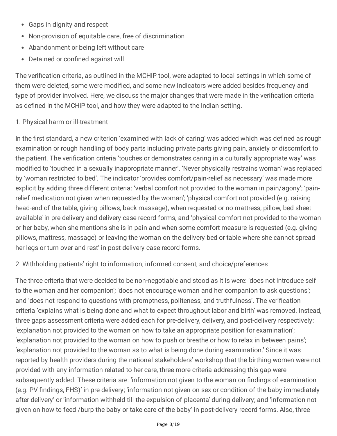- Gaps in dignity and respect
- Non-provision of equitable care, free of discrimination
- Abandonment or being left without care
- Detained or confined against will

The verification criteria, as outlined in the MCHIP tool, were adapted to local settings in which some of them were deleted, some were modified, and some new indicators were added besides frequency and type of provider involved. Here, we discuss the major changes that were made in the verification criteria as defined in the MCHIP tool, and how they were adapted to the Indian setting.

### 1. Physical harm or ill-treatment

In the first standard, a new criterion 'examined with lack of caring' was added which was defined as rough examination or rough handling of body parts including private parts giving pain, anxiety or discomfort to the patient. The verification criteria 'touches or demonstrates caring in a culturally appropriate way' was modified to 'touched in a sexually inappropriate manner'. 'Never physically restrains woman' was replaced by 'woman restricted to bed'. The indicator 'provides comfort/pain-relief as necessary' was made more explicit by adding three different criteria: 'verbal comfort not provided to the woman in pain/agony'; 'painrelief medication not given when requested by the woman'; 'physical comfort not provided (e.g. raising head-end of the table, giving pillows, back massage), when requested or no mattress, pillow, bed sheet available' in pre-delivery and delivery case record forms, and 'physical comfort not provided to the woman or her baby, when she mentions she is in pain and when some comfort measure is requested (e.g. giving pillows, mattress, massage) or leaving the woman on the delivery bed or table where she cannot spread her legs or turn over and rest' in post-delivery case record forms.

### 2. Withholding patients' right to information, informed consent, and choice/preferences

The three criteria that were decided to be non-negotiable and stood as it is were: 'does not introduce self to the woman and her companion'; 'does not encourage woman and her companion to ask questions'; and 'does not respond to questions with promptness, politeness, and truthfulness'. The verification criteria 'explains what is being done and what to expect throughout labor and birth' was removed. Instead, three gaps assessment criteria were added each for pre-delivery, delivery, and post-delivery respectively: 'explanation not provided to the woman on how to take an appropriate position for examination'; 'explanation not provided to the woman on how to push or breathe or how to relax in between pains'; 'explanation not provided to the woman as to what is being done during examination.' Since it was reported by health providers during the national stakeholders' workshop that the birthing women were not provided with any information related to her care, three more criteria addressing this gap were subsequently added. These criteria are: 'information not given to the woman on findings of examination (e.g. PV findings, FHS)' in pre-delivery; 'information not given on sex or condition of the baby immediately after delivery' or 'information withheld till the expulsion of placenta' during delivery; and 'information not given on how to feed /burp the baby or take care of the baby' in post-delivery record forms. Also, three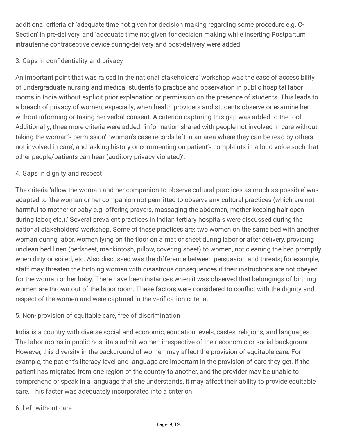additional criteria of 'adequate time not given for decision making regarding some procedure e.g. C-Section' in pre-delivery, and 'adequate time not given for decision making while inserting Postpartum intrauterine contraceptive device during-delivery and post-delivery were added.

## 3. Gaps in confidentiality and privacy

An important point that was raised in the national stakeholders' workshop was the ease of accessibility of undergraduate nursing and medical students to practice and observation in public hospital labor rooms in India without explicit prior explanation or permission on the presence of students. This leads to a breach of privacy of women, especially, when health providers and students observe or examine her without informing or taking her verbal consent. A criterion capturing this gap was added to the tool. Additionally, three more criteria were added: 'information shared with people not involved in care without taking the woman's permission'; 'woman's case records left in an area where they can be read by others not involved in care'; and 'asking history or commenting on patient's complaints in a loud voice such that other people/patients can hear (auditory privacy violated)'.

### 4. Gaps in dignity and respect

The criteria 'allow the woman and her companion to observe cultural practices as much as possible' was adapted to 'the woman or her companion not permitted to observe any cultural practices (which are not harmful to mother or baby e.g. offering prayers, massaging the abdomen, mother keeping hair open during labor, etc.).' Several prevalent practices in Indian tertiary hospitals were discussed during the national stakeholders' workshop. Some of these practices are: two women on the same bed with another woman during labor, women lying on the floor on a mat or sheet during labor or after delivery, providing unclean bed linen (bedsheet, mackintosh, pillow, covering sheet) to women, not cleaning the bed promptly when dirty or soiled, etc. Also discussed was the difference between persuasion and threats; for example, staff may threaten the birthing women with disastrous consequences if their instructions are not obeyed for the woman or her baby. There have been instances when it was observed that belongings of birthing women are thrown out of the labor room. These factors were considered to conflict with the dignity and respect of the women and were captured in the verification criteria.

### 5. Non- provision of equitable care, free of discrimination

India is a country with diverse social and economic, education levels, castes, religions, and languages. The labor rooms in public hospitals admit women irrespective of their economic or social background. However, this diversity in the background of women may affect the provision of equitable care. For example, the patient's literacy level and language are important in the provision of care they get. If the patient has migrated from one region of the country to another, and the provider may be unable to comprehend or speak in a language that she understands, it may affect their ability to provide equitable care. This factor was adequately incorporated into a criterion.

### 6. Left without care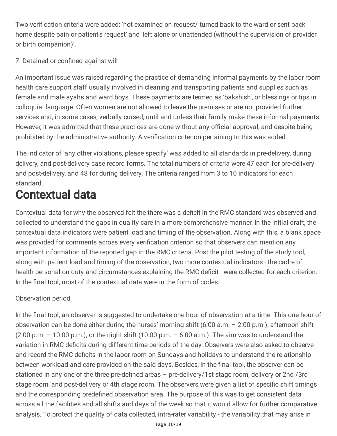Two verification criteria were added: 'not examined on request/ turned back to the ward or sent back home despite pain or patient's request' and 'left alone or unattended (without the supervision of provider or birth companion)'.

## 7. Detained or confined against will

An important issue was raised regarding the practice of demanding informal payments by the labor room health care support staff usually involved in cleaning and transporting patients and supplies such as female and male ayahs and ward boys. These payments are termed as 'bakshish', or blessings or tips in colloquial language. Often women are not allowed to leave the premises or are not provided further services and, in some cases, verbally cursed, until and unless their family make these informal payments. However, it was admitted that these practices are done without any official approval, and despite being prohibited by the administrative authority. A verification criterion pertaining to this was added.

The indicator of 'any other violations, please specify' was added to all standards in pre-delivery, during delivery, and post-delivery case record forms. The total numbers of criteria were 47 each for pre-delivery and post-delivery, and 48 for during delivery. The criteria ranged from 3 to 10 indicators for each standard.

# Contextual data

Contextual data for why the observed felt the there was a deficit in the RMC standard was observed and collected to understand the gaps in quality care in a more comprehensive manner. In the initial draft, the contextual data indicators were patient load and timing of the observation. Along with this, a blank space was provided for comments across every verification criterion so that observers can mention any important information of the reported gap in the RMC criteria. Post the pilot testing of the study tool, along with patient load and timing of the observation, two more contextual indicators - the cadre of health personal on duty and circumstances explaining the RMC deficit - were collected for each criterion. In the final tool, most of the contextual data were in the form of codes.

## Observation period

In the final tool, an observer is suggested to undertake one hour of observation at a time. This one hour of observation can be done either during the nurses' morning shift (6:00 a.m. – 2:00 p.m.), afternoon shift  $(2:00 \text{ p.m.} - 10:00 \text{ p.m.})$ , or the night shift  $(10:00 \text{ p.m.} - 6:00 \text{ a.m.})$ . The aim was to understand the variation in RMC deficits during different time-periods of the day. Observers were also asked to observe and record the RMC deficits in the labor room on Sundays and holidays to understand the relationship between workload and care provided on the said days. Besides, in the final tool, the observer can be stationed in any one of the three pre-defined areas - pre-delivery/1st stage room, delivery or 2nd /3rd stage room, and post-delivery or 4th stage room. The observers were given a list of specific shift timings and the corresponding predefined observation area. The purpose of this was to get consistent data across all the facilities and all shifts and days of the week so that it would allow for further comparative analysis. To protect the quality of data collected, intra-rater variability - the variability that may arise in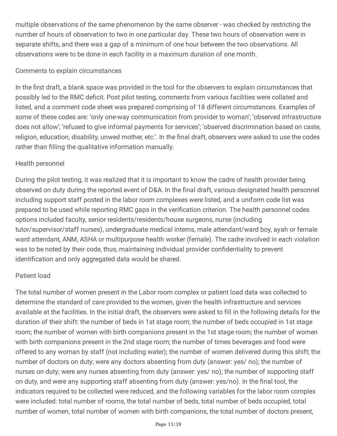multiple observations of the same phenomenon by the same observer - was checked by restricting the number of hours of observation to two in one particular day. These two hours of observation were in separate shifts, and there was a gap of a minimum of one hour between the two observations. All observations were to be done in each facility in a maximum duration of one month.

### Comments to explain circumstances

In the first draft, a blank space was provided in the tool for the observers to explain circumstances that possibly led to the RMC deficit. Post pilot testing, comments from various facilities were collated and listed, and a comment code sheet was prepared comprising of 18 different circumstances. Examples of some of these codes are: 'only one-way communication from provider to woman'; 'observed infrastructure does not allow'; 'refused to give informal payments for services'; 'observed discrimination based on caste, religion, education, disability, unwed mother, etc.'. In the final draft, observers were asked to use the codes rather than filling the qualitative information manually.

## Health personnel

During the pilot testing, it was realized that it is important to know the cadre of health provider being observed on duty during the reported event of D&A. In the final draft, various designated health personnel including support staff posted in the labor room complexes were listed, and a uniform code list was prepared to be used while reporting RMC gaps in the verification criterion. The health personnel codes options included faculty, senior residents/residents/house surgeons, nurse (including tutor/supervisor/staff nurses), undergraduate medical interns, male attendant/ward boy, ayah or female ward attendant, ANM, ASHA or multipurpose health worker (female). The cadre involved in each violation was to be noted by their code, thus, maintaining individual provider confidentiality to prevent identification and only aggregated data would be shared.

## Patient load

The total number of women present in the Labor room complex or patient load data was collected to determine the standard of care provided to the women, given the health infrastructure and services available at the facilities. In the initial draft, the observers were asked to fill in the following details for the duration of their shift: the number of beds in 1st stage room; the number of beds occupied in 1st stage room; the number of women with birth companions present in the 1st stage room; the number of women with birth companions present in the 2nd stage room; the number of times beverages and food were offered to any woman by staff (not including water); the number of women delivered during this shift; the number of doctors on duty; were any doctors absenting from duty (answer: yes/ no); the number of nurses on duty; were any nurses absenting from duty (answer: yes/ no); the number of supporting staff on duty, and were any supporting staff absenting from duty (answer: yes/no). In the final tool, the indicators required to be collected were reduced, and the following variables for the labor room complex were included: total number of rooms, the total number of beds, total number of beds occupied, total number of women, total number of women with birth companions, the total number of doctors present,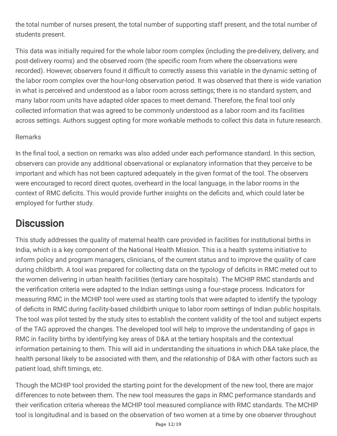the total number of nurses present, the total number of supporting staff present, and the total number of students present.

This data was initially required for the whole labor room complex (including the pre-delivery, delivery, and post-delivery rooms) and the observed room (the specific room from where the observations were recorded). However, observers found it difficult to correctly assess this variable in the dynamic setting of the labor room complex over the hour-long observation period. It was observed that there is wide variation in what is perceived and understood as a labor room across settings; there is no standard system, and many labor room units have adapted older spaces to meet demand. Therefore, the final tool only collected information that was agreed to be commonly understood as a labor room and its facilities across settings. Authors suggest opting for more workable methods to collect this data in future research.

### Remarks

In the final tool, a section on remarks was also added under each performance standard. In this section, observers can provide any additional observational or explanatory information that they perceive to be important and which has not been captured adequately in the given format of the tool. The observers were encouraged to record direct quotes, overheard in the local language, in the labor rooms in the context of RMC deficits. This would provide further insights on the deficits and, which could later be employed for further study.

# **Discussion**

This study addresses the quality of maternal health care provided in facilities for institutional births in India, which is a key component of the National Health Mission. This is a health systems initiative to inform policy and program managers, clinicians, of the current status and to improve the quality of care during childbirth. A tool was prepared for collecting data on the typology of deficits in RMC meted out to the women delivering in urban health facilities (tertiary care hospitals). The MCHIP RMC standards and the verification criteria were adapted to the Indian settings using a four-stage process. Indicators for measuring RMC in the MCHIP tool were used as starting tools that were adapted to identify the typology of deficits in RMC during facility-based childbirth unique to labor room settings of Indian public hospitals. The tool was pilot tested by the study sites to establish the content validity of the tool and subject experts of the TAG approved the changes. The developed tool will help to improve the understanding of gaps in RMC in facility births by identifying key areas of D&A at the tertiary hospitals and the contextual information pertaining to them. This will aid in understanding the situations in which D&A take place, the health personal likely to be associated with them, and the relationship of D&A with other factors such as patient load, shift timings, etc.

Though the MCHIP tool provided the starting point for the development of the new tool, there are major differences to note between them. The new tool measures the gaps in RMC performance standards and their verification criteria whereas the MCHIP tool measured compliance with RMC standards. The MCHIP tool is longitudinal and is based on the observation of two women at a time by one observer throughout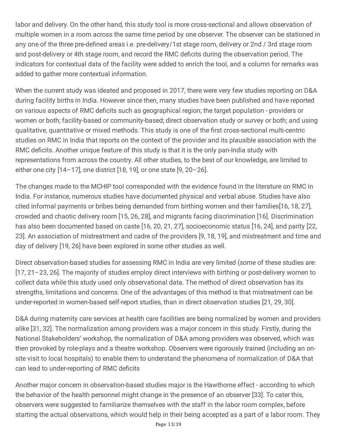labor and delivery. On the other hand, this study tool is more cross-sectional and allows observation of multiple women in a room across the same time period by one observer. The observer can be stationed in any one of the three pre-defined areas i.e. pre-delivery/1st stage room, delivery or 2nd / 3rd stage room and post-delivery or 4th stage room, and record the RMC deficits during the observation period. The indicators for contextual data of the facility were added to enrich the tool, and a column for remarks was added to gather more contextual information.

When the current study was ideated and proposed in 2017, there were very few studies reporting on D&A during facility births in India. However since then, many studies have been published and have reported on various aspects of RMC deficits such as geographical region; the target population - providers or women or both; facility-based or community-based; direct observation study or survey or both; and using qualitative, quantitative or mixed methods. This study is one of the first cross-sectional multi-centric studies on RMC in India that reports on the context of the provider and its plausible association with the RMC deficits. Another unique feature of this study is that it is the only pan-India study with representations from across the country. All other studies, to the best of our knowledge, are limited to either one city [14–17], one district [18, 19], or one state [9, 20–26].

The changes made to the MCHIP tool corresponded with the evidence found in the literature on RMC in India. For instance, numerous studies have documented physical and verbal abuse. Studies have also cited informal payments or bribes being demanded from birthing women and their families[16, 18, 27], crowded and chaotic delivery room [15, 26, 28], and migrants facing discrimination [16]. Discrimination has also been documented based on caste [16, 20, 21, 27], socioeconomic status [16, 24], and parity [22, 23]. An association of mistreatment and cadre of the providers [9, 18, 19], and mistreatment and time and day of delivery [19, 26] have been explored in some other studies as well.

Direct observation-based studies for assessing RMC in India are very limited (some of these studies are: [17, 21–23, 26]. The majority of studies employ direct interviews with birthing or post-delivery women to collect data while this study used only observational data. The method of direct observation has its strengths, limitations and concerns. One of the advantages of this method is that mistreatment can be under-reported in women-based self-report studies, than in direct observation studies [21, 29, 30].

D&A during maternity care services at health care facilities are being normalized by women and providers alike [31, 32]. The normalization among providers was a major concern in this study. Firstly, during the National Stakeholders' workshop, the normalization of D&A among providers was observed, which was then provoked by role-plays and a theatre workshop. Observers were rigorously trained (including an onsite visit to local hospitals) to enable them to understand the phenomena of normalization of D&A that can lead to under-reporting of RMC deficits

Another major concern in observation-based studies major is the Hawthorne effect - according to which the behavior of the health personnel might change in the presence of an observer [33]. To cater this, observers were suggested to familiarize themselves with the staff in the labor room complex, before starting the actual observations, which would help in their being accepted as a part of a labor room. They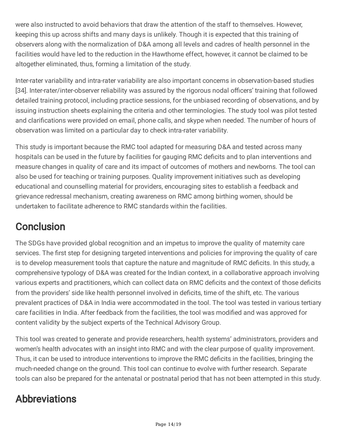were also instructed to avoid behaviors that draw the attention of the staff to themselves. However, keeping this up across shifts and many days is unlikely. Though it is expected that this training of observers along with the normalization of D&A among all levels and cadres of health personnel in the facilities would have led to the reduction in the Hawthorne effect, however, it cannot be claimed to be altogether eliminated, thus, forming a limitation of the study.

Inter-rater variability and intra-rater variability are also important concerns in observation-based studies [34]. Inter-rater/inter-observer reliability was assured by the rigorous nodal officers' training that followed detailed training protocol, including practice sessions, for the unbiased recording of observations, and by issuing instruction sheets explaining the criteria and other terminologies. The study tool was pilot tested and clarifications were provided on email, phone calls, and skype when needed. The number of hours of observation was limited on a particular day to check intra-rater variability.

This study is important because the RMC tool adapted for measuring D&A and tested across many hospitals can be used in the future by facilities for gauging RMC deficits and to plan interventions and measure changes in quality of care and its impact of outcomes of mothers and newborns. The tool can also be used for teaching or training purposes. Quality improvement initiatives such as developing educational and counselling material for providers, encouraging sites to establish a feedback and grievance redressal mechanism, creating awareness on RMC among birthing women, should be undertaken to facilitate adherence to RMC standards within the facilities.

# **Conclusion**

The SDGs have provided global recognition and an impetus to improve the quality of maternity care services. The first step for designing targeted interventions and policies for improving the quality of care is to develop measurement tools that capture the nature and magnitude of RMC deficits. In this study, a comprehensive typology of D&A was created for the Indian context, in a collaborative approach involving various experts and practitioners, which can collect data on RMC deficits and the context of those deficits from the providers' side like health personnel involved in deficits, time of the shift, etc. The various prevalent practices of D&A in India were accommodated in the tool. The tool was tested in various tertiary care facilities in India. After feedback from the facilities, the tool was modified and was approved for content validity by the subject experts of the Technical Advisory Group.

This tool was created to generate and provide researchers, health systems' administrators, providers and women's health advocates with an insight into RMC and with the clear purpose of quality improvement. Thus, it can be used to introduce interventions to improve the RMC deficits in the facilities, bringing the much-needed change on the ground. This tool can continue to evolve with further research. Separate tools can also be prepared for the antenatal or postnatal period that has not been attempted in this study.

# Abbreviations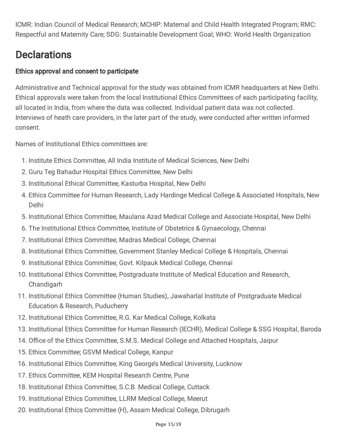ICMR: Indian Council of Medical Research; MCHIP: Maternal and Child Health Integrated Program; RMC: Respectful and Maternity Care; SDG: Sustainable Development Goal; WHO: World Health Organization

# **Declarations**

## Ethics approval and consent to participate

Administrative and Technical approval for the study was obtained from ICMR headquarters at New Delhi. Ethical approvals were taken from the local Institutional Ethics Committees of each participating facility, all located in India, from where the data was collected. Individual patient data was not collected. Interviews of heath care providers, in the later part of the study, were conducted after written informed consent.

Names of Institutional Ethics committees are:

- 1. Institute Ethics Committee, All India Institute of Medical Sciences, New Delhi
- 2. Guru Teg Bahadur Hospital Ethics Committee, New Delhi
- 3. Institutional Ethical Committee, Kasturba Hospital, New Delhi
- 4. Ethics Committee for Human Research, Lady Hardinge Medical College & Associated Hospitals, New Delhi
- 5. Institutional Ethics Committee, Maulana Azad Medical College and Associate Hospital, New Delhi
- 6. The Institutional Ethics Committee, Institute of Obstetrics & Gynaecology, Chennai
- 7. Institutional Ethics Committee, Madras Medical College, Chennai
- 8. Institutional Ethics Committee, Government Stanley Medical College & Hospitals, Chennai
- 9. Institutional Ethics Committee, Govt. Kilpauk Medical College, Chennai
- 10. Institutional Ethics Committee, Postgraduate Institute of Medical Education and Research, Chandigarh
- 11. Institutional Ethics Committee (Human Studies), Jawaharlal Institute of Postgraduate Medical Education & Research, Puducherry
- 12. Institutional Ethics Committee, R.G. Kar Medical College, Kolkata
- 13. Institutional Ethics Committee for Human Research (IECHR), Medical College & SSG Hospital, Baroda
- 14. Office of the Ethics Committee, S.M.S. Medical College and Attached Hospitals, Jaipur
- 15. Ethics Committee; GSVM Medical College, Kanpur
- 16. Institutional Ethics Committee, King George's Medical University, Lucknow
- 17. Ethics Committee, KEM Hospital Research Centre, Pune
- 18. Institutional Ethics Committee, S.C.B. Medical College, Cuttack
- 19. Institutional Ethics Committee, LLRM Medical College, Meerut
- 20. Institutional Ethics Committee (H), Assam Medical College, Dibrugarh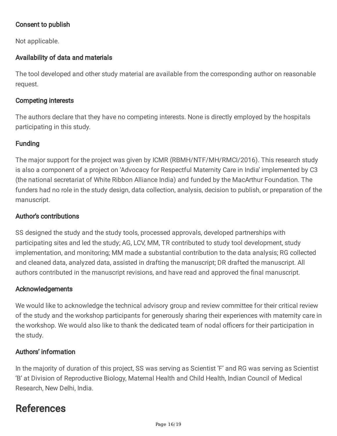## Consent to publish

Not applicable.

## Availability of data and materials

The tool developed and other study material are available from the corresponding author on reasonable request.

#### Competing interests

The authors declare that they have no competing interests. None is directly employed by the hospitals participating in this study.

## **Funding**

The major support for the project was given by ICMR (RBMH/NTF/MH/RMCI/2016). This research study is also a component of a project on 'Advocacy for Respectful Maternity Care in India' implemented by C3 (the national secretariat of White Ribbon Alliance India) and funded by the MacArthur Foundation. The funders had no role in the study design, data collection, analysis, decision to publish, or preparation of the manuscript.

#### Author's contributions

SS designed the study and the study tools, processed approvals, developed partnerships with participating sites and led the study; AG, LCV, MM, TR contributed to study tool development, study implementation, and monitoring; MM made a substantial contribution to the data analysis; RG collected and cleaned data, analyzed data, assisted in drafting the manuscript; DR drafted the manuscript. All authors contributed in the manuscript revisions, and have read and approved the final manuscript.

#### Acknowledgements

We would like to acknowledge the technical advisory group and review committee for their critical review of the study and the workshop participants for generously sharing their experiences with maternity care in the workshop. We would also like to thank the dedicated team of nodal officers for their participation in the study.

### Authors' information

In the majority of duration of this project, SS was serving as Scientist 'F' and RG was serving as Scientist 'B' at Division of Reproductive Biology, Maternal Health and Child Health, Indian Council of Medical Research, New Delhi, India.

# References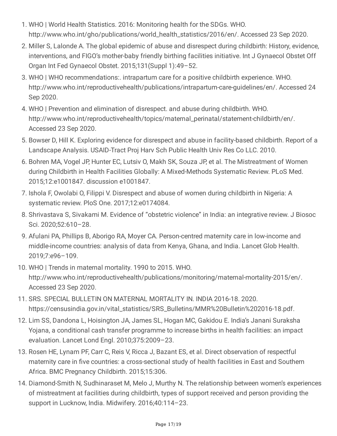- 1. WHO | World Health Statistics. 2016: Monitoring health for the SDGs. WHO. http://www.who.int/gho/publications/world\_health\_statistics/2016/en/. Accessed 23 Sep 2020.
- 2. Miller S, Lalonde A. The global epidemic of abuse and disrespect during childbirth: History, evidence, interventions, and FIGO's mother-baby friendly birthing facilities initiative. Int J Gynaecol Obstet Off Organ Int Fed Gynaecol Obstet. 2015;131(Suppl 1):49–52.
- 3. WHO | WHO recommendations:. intrapartum care for a positive childbirth experience. WHO. http://www.who.int/reproductivehealth/publications/intrapartum-care-guidelines/en/. Accessed 24 Sep 2020.
- 4. WHO | Prevention and elimination of disrespect. and abuse during childbirth. WHO. http://www.who.int/reproductivehealth/topics/maternal\_perinatal/statement-childbirth/en/. Accessed 23 Sep 2020.
- 5. Bowser D, Hill K. Exploring evidence for disrespect and abuse in facility-based childbirth. Report of a Landscape Analysis. USAID-Tract Proj Harv Sch Public Health Univ Res Co LLC. 2010.
- 6. Bohren MA, Vogel JP, Hunter EC, Lutsiv O, Makh SK, Souza JP, et al. The Mistreatment of Women during Childbirth in Health Facilities Globally: A Mixed-Methods Systematic Review. PLoS Med. 2015;12:e1001847. discussion e1001847.
- 7. Ishola F, Owolabi O, Filippi V. Disrespect and abuse of women during childbirth in Nigeria: A systematic review. PloS One. 2017;12:e0174084.
- 8. Shrivastava S, Sivakami M. Evidence of "obstetric violence" in India: an integrative review. J Biosoc Sci. 2020;52:610–28.
- 9. Afulani PA, Phillips B, Aborigo RA, Moyer CA. Person-centred maternity care in low-income and middle-income countries: analysis of data from Kenya, Ghana, and India. Lancet Glob Health. 2019;7:e96–109.
- 10. WHO | Trends in maternal mortality. 1990 to 2015. WHO. http://www.who.int/reproductivehealth/publications/monitoring/maternal-mortality-2015/en/. Accessed 23 Sep 2020.
- 11. SRS. SPECIAL BULLETIN ON MATERNAL MORTALITY IN. INDIA 2016-18. 2020. https://censusindia.gov.in/vital\_statistics/SRS\_Bulletins/MMR%20Bulletin%202016-18.pdf.
- 12. Lim SS, Dandona L, Hoisington JA, James SL, Hogan MC, Gakidou E. India's Janani Suraksha Yojana, a conditional cash transfer programme to increase births in health facilities: an impact evaluation. Lancet Lond Engl. 2010;375:2009–23.
- 13. Rosen HE, Lynam PF, Carr C, Reis V, Ricca J, Bazant ES, et al. Direct observation of respectful maternity care in five countries: a cross-sectional study of health facilities in East and Southern Africa. BMC Pregnancy Childbirth. 2015;15:306.
- 14. Diamond-Smith N, Sudhinaraset M, Melo J, Murthy N. The relationship between women's experiences of mistreatment at facilities during childbirth, types of support received and person providing the support in Lucknow, India. Midwifery. 2016;40:114–23.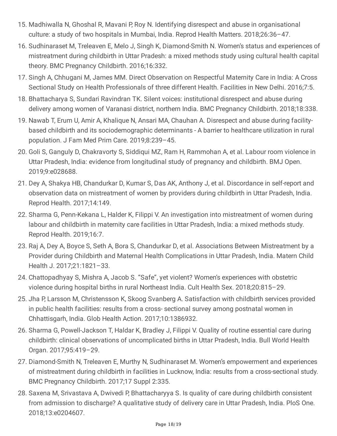- 15. Madhiwalla N, Ghoshal R, Mavani P, Roy N. Identifying disrespect and abuse in organisational culture: a study of two hospitals in Mumbai, India. Reprod Health Matters. 2018;26:36–47.
- 16. Sudhinaraset M, Treleaven E, Melo J, Singh K, Diamond-Smith N. Women's status and experiences of mistreatment during childbirth in Uttar Pradesh: a mixed methods study using cultural health capital theory. BMC Pregnancy Childbirth. 2016;16:332.
- 17. Singh A, Chhugani M, James MM. Direct Observation on Respectful Maternity Care in India: A Cross Sectional Study on Health Professionals of three different Health. Facilities in New Delhi. 2016;7:5.
- 18. Bhattacharya S, Sundari Ravindran TK. Silent voices: institutional disrespect and abuse during delivery among women of Varanasi district, northern India. BMC Pregnancy Childbirth. 2018;18:338.
- 19. Nawab T, Erum U, Amir A, Khalique N, Ansari MA, Chauhan A. Disrespect and abuse during facilitybased childbirth and its sociodemographic determinants - A barrier to healthcare utilization in rural population. J Fam Med Prim Care. 2019;8:239–45.
- 20. Goli S, Ganguly D, Chakravorty S, Siddiqui MZ, Ram H, Rammohan A, et al. Labour room violence in Uttar Pradesh, India: evidence from longitudinal study of pregnancy and childbirth. BMJ Open. 2019;9:e028688.
- 21. Dey A, Shakya HB, Chandurkar D, Kumar S, Das AK, Anthony J, et al. Discordance in self-report and observation data on mistreatment of women by providers during childbirth in Uttar Pradesh, India. Reprod Health. 2017;14:149.
- 22. Sharma G, Penn-Kekana L, Halder K, Filippi V. An investigation into mistreatment of women during labour and childbirth in maternity care facilities in Uttar Pradesh, India: a mixed methods study. Reprod Health. 2019;16:7.
- 23. Raj A, Dey A, Boyce S, Seth A, Bora S, Chandurkar D, et al. Associations Between Mistreatment by a Provider during Childbirth and Maternal Health Complications in Uttar Pradesh, India. Matern Child Health J. 2017;21:1821–33.
- 24. Chattopadhyay S, Mishra A, Jacob S. "Safe", yet violent? Women's experiences with obstetric violence during hospital births in rural Northeast India. Cult Health Sex. 2018;20:815–29.
- 25. Jha P, Larsson M, Christensson K, Skoog Svanberg A. Satisfaction with childbirth services provided in public health facilities: results from a cross- sectional survey among postnatal women in Chhattisgarh, India. Glob Health Action. 2017;10:1386932.
- 26. Sharma G, Powell-Jackson T, Haldar K, Bradley J, Filippi V. Quality of routine essential care during childbirth: clinical observations of uncomplicated births in Uttar Pradesh, India. Bull World Health Organ. 2017;95:419–29.
- 27. Diamond-Smith N, Treleaven E, Murthy N, Sudhinaraset M. Women's empowerment and experiences of mistreatment during childbirth in facilities in Lucknow, India: results from a cross-sectional study. BMC Pregnancy Childbirth. 2017;17 Suppl 2:335.
- 28. Saxena M, Srivastava A, Dwivedi P, Bhattacharyya S. Is quality of care during childbirth consistent from admission to discharge? A qualitative study of delivery care in Uttar Pradesh, India. PloS One. 2018;13:e0204607.